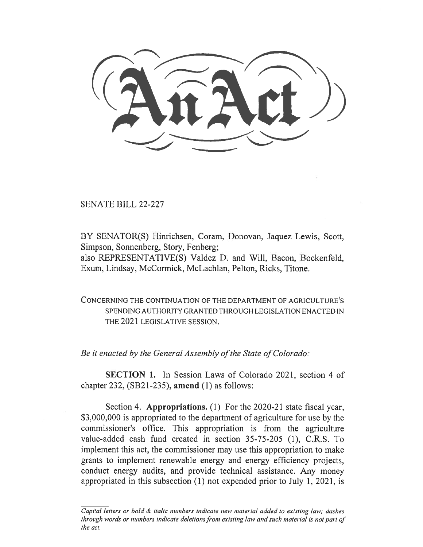SENATE BILL 22-227

BY SENATOR(S) Hinrichsen, Coram, Donovan, Jaquez Lewis, Scott, Simpson, Sonnenberg, Story, Fenberg;

also REPRESENTATIVE(S) Valdez D. and Will, Bacon, Bockenfeld, Exum, Lindsay, McCormick, McLachlan, Pelton, Ricks, Titone.

CONCERNING THE CONTINUATION OF THE DEPARTMENT OF AGRICULTURE'S SPENDING AUTHORITY GRANTED THROUGH LEGISLATION ENACTED IN THE 2021 LEGISLATIVE SESSION.

Be it enacted by the General Assembly of the State of Colorado:

SECTION 1. In Session Laws of Colorado 2021, section 4 of chapter 232, (SB21-235), amend (1) as follows:

Section 4. Appropriations. (1) For the 2020-21 state fiscal year, \$3,000,000 is appropriated to the department of agriculture for use by the commissioner's office. This appropriation is from the agriculture value-added cash fund created in section 35-75-205 (1), C.R.S. To implement this act, the commissioner may use this appropriation to make grants to implement renewable energy and energy efficiency projects, conduct energy audits, and provide technical assistance. Any money appropriated in this subsection (1) not expended prior to July 1, 2021, is

Capital letters or bold  $\&$  italic numbers indicate new material added to existing law; dashes through words or numbers indicate deletions from existing law and such material is not part of the act.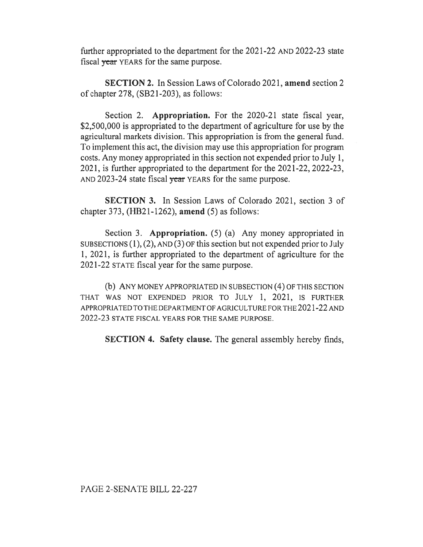further appropriated to the department for the 2021-22 AND 2022-23 state fiscal year YEARS for the same purpose.

SECTION 2. In Session Laws of Colorado 2021, amend section 2 of chapter 278, (SB21-203), as follows:

Section 2. Appropriation. For the 2020-21 state fiscal year, \$2,500,000 is appropriated to the department of agriculture for use by the agricultural markets division. This appropriation is from the general fund. To implement this act, the division may use this appropriation for program costs. Any money appropriated in this section not expended prior to July 1, 2021, is further appropriated to the department for the 2021-22, 2022-23, AND 2023-24 state fiscal year YEARS for the same purpose.

SECTION 3. In Session Laws of Colorado 2021, section 3 of chapter 373,  $(HB21-1262)$ , amend (5) as follows:

Section 3. Appropriation. (5) (a) Any money appropriated in SUBSECTIONS (1), (2), AND (3) OF this section but not expended prior to July 1, 2021, is further appropriated to the department of agriculture for the 2021-22 STATE fiscal year for the same purpose.

(b) ANY MONEY APPROPRIATED IN SUBSECTION (4) OF THIS SECTION THAT WAS NOT EXPENDED PRIOR TO JULY 1, 2021, IS FURTHER APPROPRIATED TO THE DEPARTMENT OF AGRICULTURE FOR THE 2021-22 AND 2022-23 STATE FISCAL YEARS FOR THE SAME PURPOSE.

SECTION 4. Safety clause. The general assembly hereby finds,